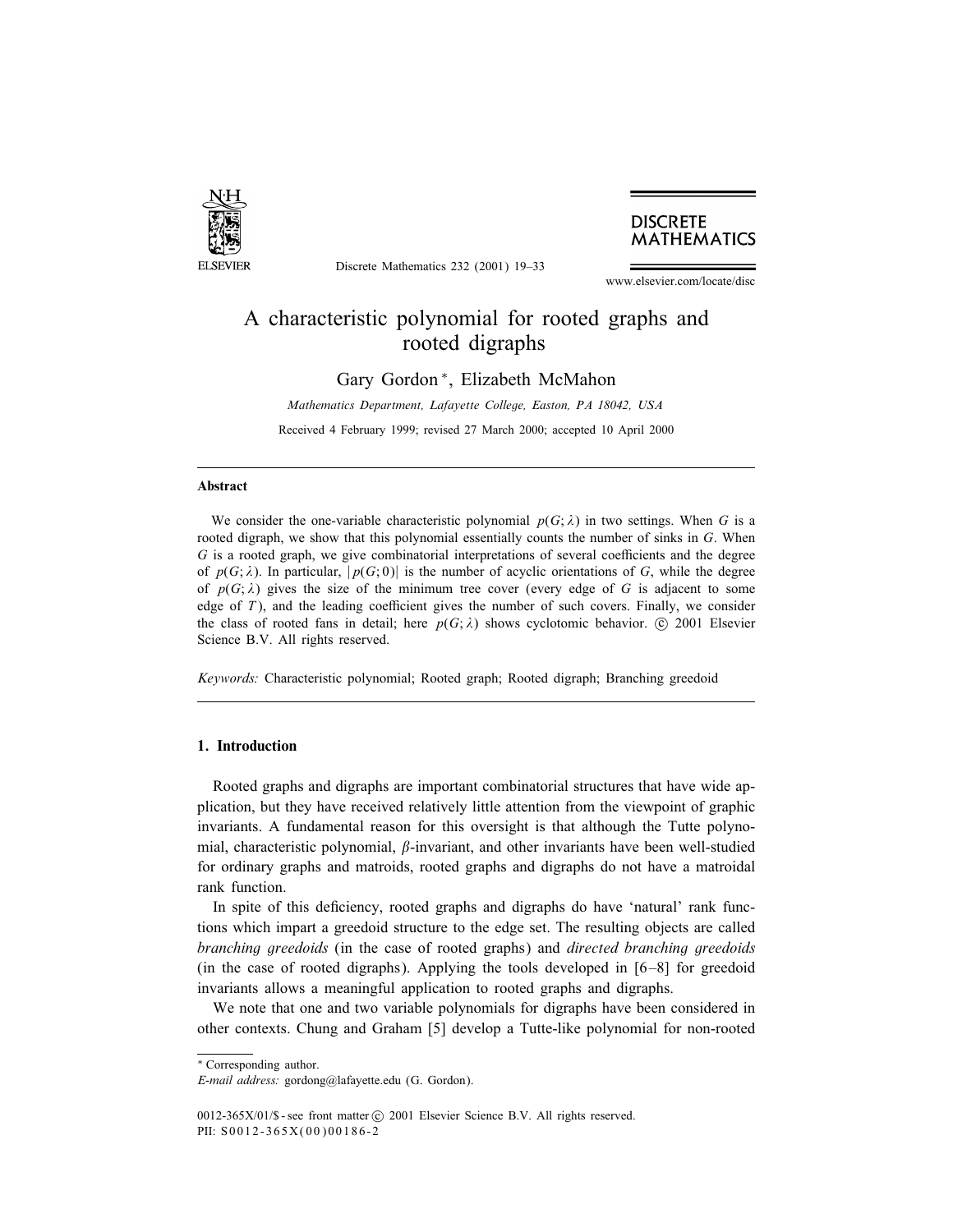

Discrete Mathematics 232 (2001) 19–33

# **DISCRETE MATHEMATICS**

www.elsevier.com/locate/disc

# A characteristic polynomial for rooted graphs and rooted digraphs

Gary Gordon <sup>∗</sup>, Elizabeth McMahon

*Mathematics Department, Lafayette College, Easton, PA 18042, USA* Received 4 February 1999; revised 27 March 2000; accepted 10 April 2000

# Abstract

We consider the one-variable characteristic polynomial  $p(G; \lambda)$  in two settings. When G is a rooted digraph, we show that this polynomial essentially counts the number of sinks in G. When  $G$  is a rooted graph, we give combinatorial interpretations of several coefficients and the degree of  $p(G; \lambda)$ . In particular,  $|p(G; 0)|$  is the number of acyclic orientations of G, while the degree of  $p(G; \lambda)$  gives the size of the minimum tree cover (every edge of G is adjacent to some edge of  $T$ ), and the leading coefficient gives the number of such covers. Finally, we consider the class of rooted fans in detail; here  $p(G; \lambda)$  shows cyclotomic behavior.  $\odot$  2001 Elsevier Science B.V. All rights reserved.

*Keywords:* Characteristic polynomial; Rooted graph; Rooted digraph; Branching greedoid

## 1. Introduction

Rooted graphs and digraphs are important combinatorial structures that have wide application, but they have received relatively little attention from the viewpoint of graphic invariants. A fundamental reason for this oversight is that although the Tutte polynomial, characteristic polynomial,  $\beta$ -invariant, and other invariants have been well-studied for ordinary graphs and matroids, rooted graphs and digraphs do not have a matroidal rank function.

In spite of this deficiency, rooted graphs and digraphs do have 'natural' rank functions which impart a greedoid structure to the edge set. The resulting objects are called *branching greedoids* (in the case of rooted graphs) and *directed branching greedoids* (in the case of rooted digraphs). Applying the tools developed in  $[6-8]$  for greedoid invariants allows a meaningful application to rooted graphs and digraphs.

We note that one and two variable polynomials for digraphs have been considered in other contexts. Chungand Graham [5] develop a Tutte-like polynomial for non-rooted

<sup>\*</sup> Corresponding author.

*E-mail address:* gordong@lafayette.edu (G. Gordon).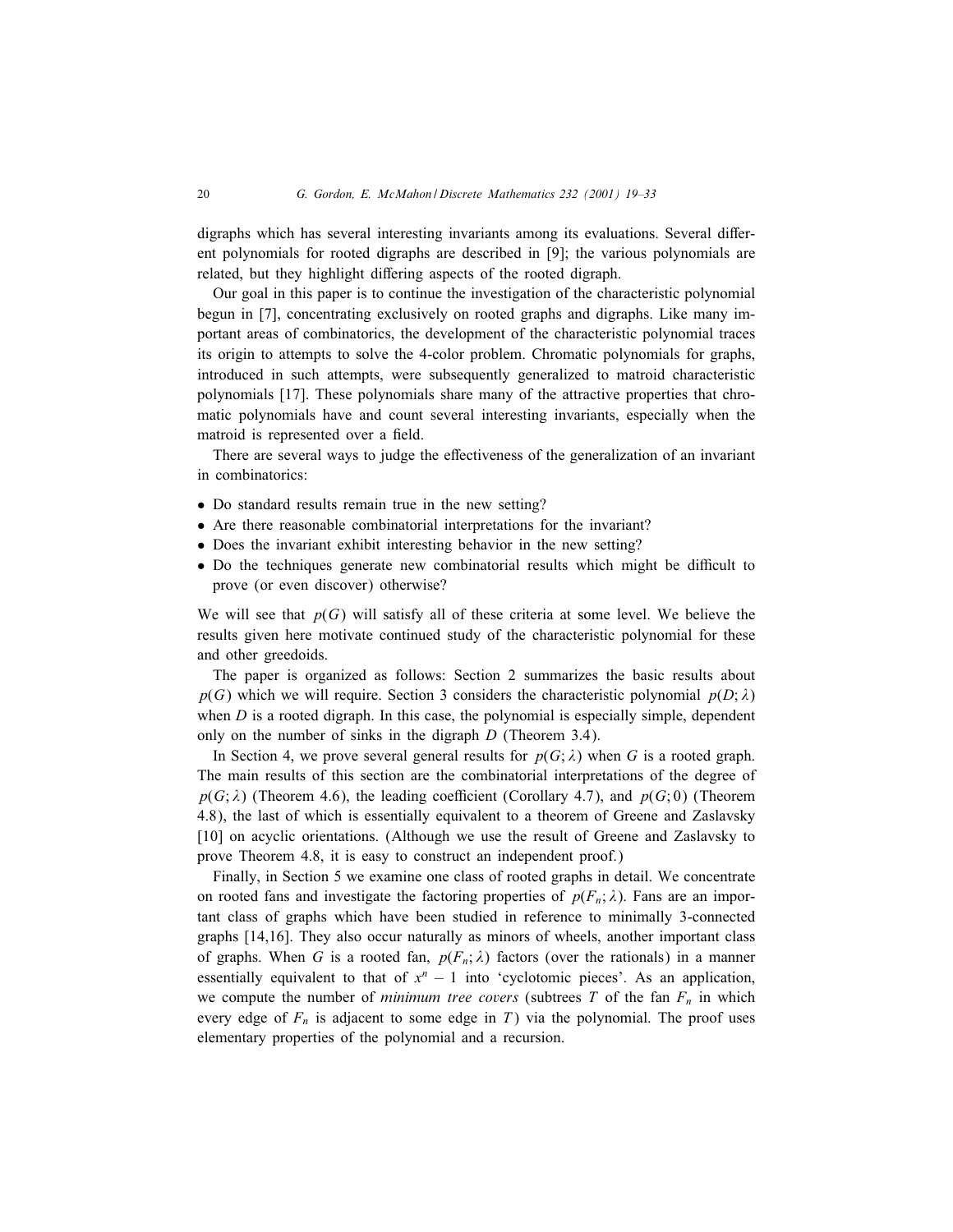digraphs which has several interesting invariants among its evaluations. Several different polynomials for rooted digraphs are described in [9]; the various polynomials are related, but they highlight differing aspects of the rooted digraph.

Our goal in this paper is to continue the investigation of the characteristic polynomial begun in [7], concentrating exclusively on rooted graphs and digraphs. Like many important areas of combinatorics, the development of the characteristic polynomial traces its origin to attempts to solve the 4-color problem. Chromatic polynomials for graphs, introduced in such attempts, were subsequently generalized to matroid characteristic polynomials [17]. These polynomials share many of the attractive properties that chromatic polynomials have and count several interesting invariants, especially when the matroid is represented over a field.

There are several ways to judge the effectiveness of the generalization of an invariant in combinatorics:

- Do standard results remain true in the new setting?
- Are there reasonable combinatorial interpretations for the invariant?
- Does the invariant exhibit interesting behavior in the new setting?
- Do the techniques generate new combinatorial results which might be difficult to prove (or even discover) otherwise?

We will see that  $p(G)$  will satisfy all of these criteria at some level. We believe the results given here motivate continued study of the characteristic polynomial for these and other greedoids.

The paper is organized as follows: Section 2 summarizes the basic results about  $p(G)$  which we will require. Section 3 considers the characteristic polynomial  $p(D; \lambda)$ when  $D$  is a rooted digraph. In this case, the polynomial is especially simple, dependent only on the number of sinks in the digraph D (Theorem 3.4).

In Section 4, we prove several general results for  $p(G; \lambda)$  when G is a rooted graph. The main results of this section are the combinatorial interpretations of the degree of  $p(G; \lambda)$  (Theorem 4.6), the leading coefficient (Corollary 4.7), and  $p(G; 0)$  (Theorem 4.8), the last of which is essentially equivalent to a theorem of Greene and Zaslavsky [10] on acyclic orientations. (Although we use the result of Greene and Zaslavsky to prove Theorem 4.8, it is easy to construct an independent proof.)

Finally, in Section 5 we examine one class of rooted graphs in detail. We concentrate on rooted fans and investigate the factoring properties of  $p(F_n; \lambda)$ . Fans are an important class of graphs which have been studied in reference to minimally 3-connected graphs [14,16]. They also occur naturally as minors of wheels, another important class of graphs. When G is a rooted fan,  $p(F_n; \lambda)$  factors (over the rationals) in a manner essentially equivalent to that of  $x<sup>n</sup> - 1$  into 'cyclotomic pieces'. As an application, we compute the number of *minimum tree covers* (subtrees  $T$  of the fan  $F_n$  in which every edge of  $F_n$  is adjacent to some edge in T) via the polynomial. The proof uses elementary properties of the polynomial and a recursion.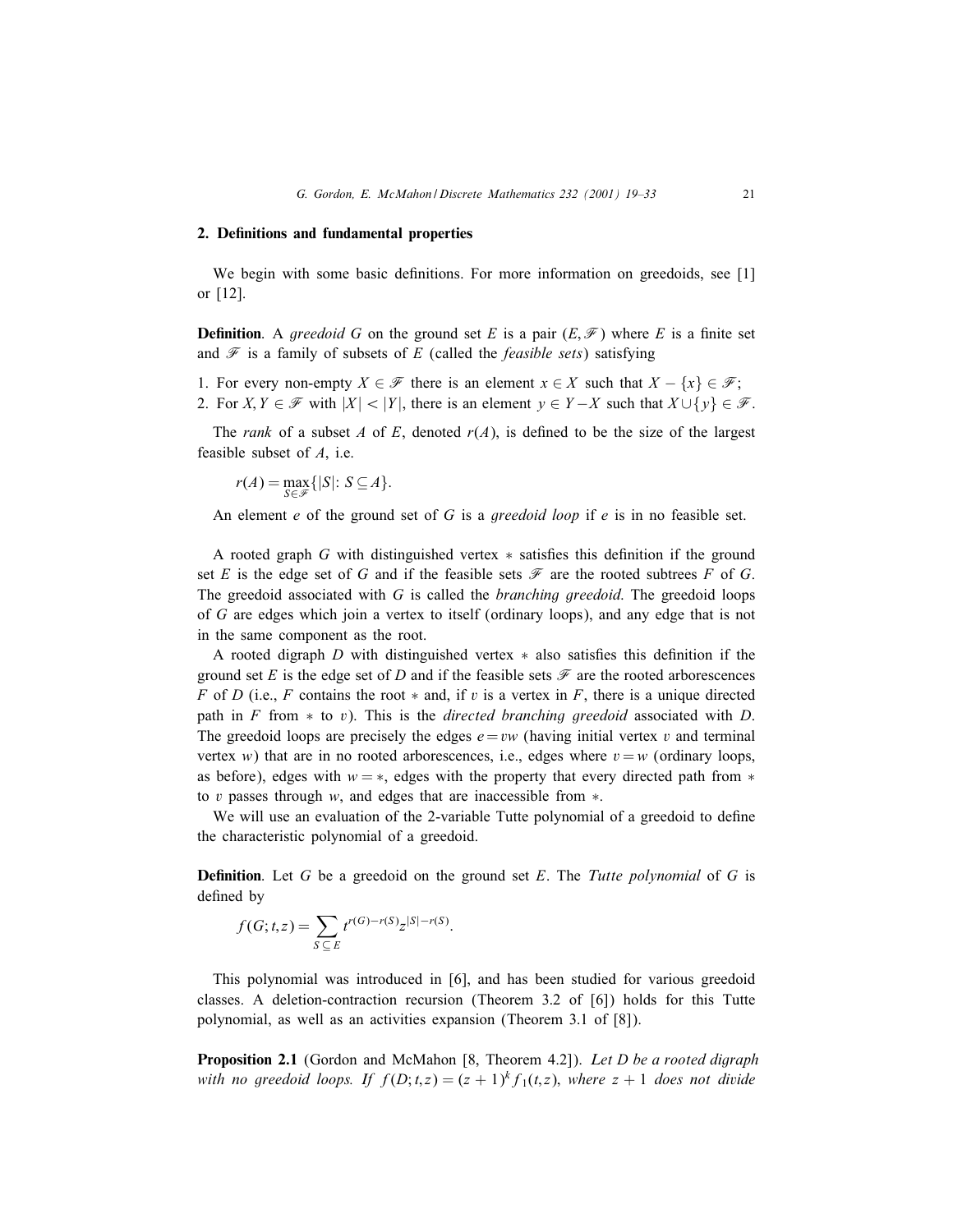#### 2. Definitions and fundamental properties

We begin with some basic definitions. For more information on greedoids, see  $[1]$ or [12].

**Definition**. A *greedoid* G on the ground set E is a pair  $(E, \mathcal{F})$  where E is a finite set and  $\mathscr F$  is a family of subsets of E (called the *feasible sets*) satisfying

1. For every non-empty  $X \in \mathcal{F}$  there is an element  $x \in X$  such that  $X - \{x\} \in \mathcal{F}$ ; 2. For  $X, Y \in \mathcal{F}$  with  $|X| < |Y|$ , there is an element  $y \in Y - X$  such that  $X \cup \{y\} \in \mathcal{F}$ .

The *rank* of a subset A of E, denoted  $r(A)$ , is defined to be the size of the largest feasible subset of A, i.e.

 $r(A) = \max_{S \in \mathcal{F}} \{|S|: S \subseteq A\}.$ 

An element e of the ground set of G is a *greedoid loop* if e is in no feasible set.

A rooted graph G with distinguished vertex  $*$  satisfies this definition if the ground set E is the edge set of G and if the feasible sets  $\mathcal F$  are the rooted subtrees F of G. The greedoid associated with G is called the *branching greedoid*. The greedoid loops of G are edges which join a vertex to itself (ordinary loops), and any edge that is not in the same component as the root.

A rooted digraph  $D$  with distinguished vertex  $*$  also satisfies this definition if the ground set E is the edge set of D and if the feasible sets  $\mathscr F$  are the rooted arborescences F of D (i.e., F contains the root  $*$  and, if v is a vertex in F, there is a unique directed path in F from  $*$  to v). This is the *directed branching greedoid* associated with D. The greedoid loops are precisely the edges  $e=vw$  (having initial vertex v and terminal vertex w) that are in no rooted arborescences, i.e., edges where  $v = w$  (ordinary loops, as before), edges with  $w = *$ , edges with the property that every directed path from  $*$ to v passes through w, and edges that are inaccessible from ∗.

We will use an evaluation of the 2-variable Tutte polynomial of a greedoid to define the characteristic polynomial of a greedoid.

**Definition**. Let G be a greedoid on the ground set E. The *Tutte polynomial* of G is defined by

$$
f(G; t, z) = \sum_{S \subseteq E} t^{r(G) - r(S)} z^{|S| - r(S)}.
$$

This polynomial was introduced in [6], and has been studied for various greedoid classes. A deletion-contraction recursion (Theorem 3:2 of [6]) holds for this Tutte polynomial, as well as an activities expansion (Theorem 3.1 of [8]).

Proposition 2.1 (Gordon and McMahon [8, Theorem 4.2]). *Let* D *be a rooted digraph with no greedoid loops. If*  $f(D; t, z) = (z + 1)^k f_1(t, z)$ , *where*  $z + 1$  *does not divide*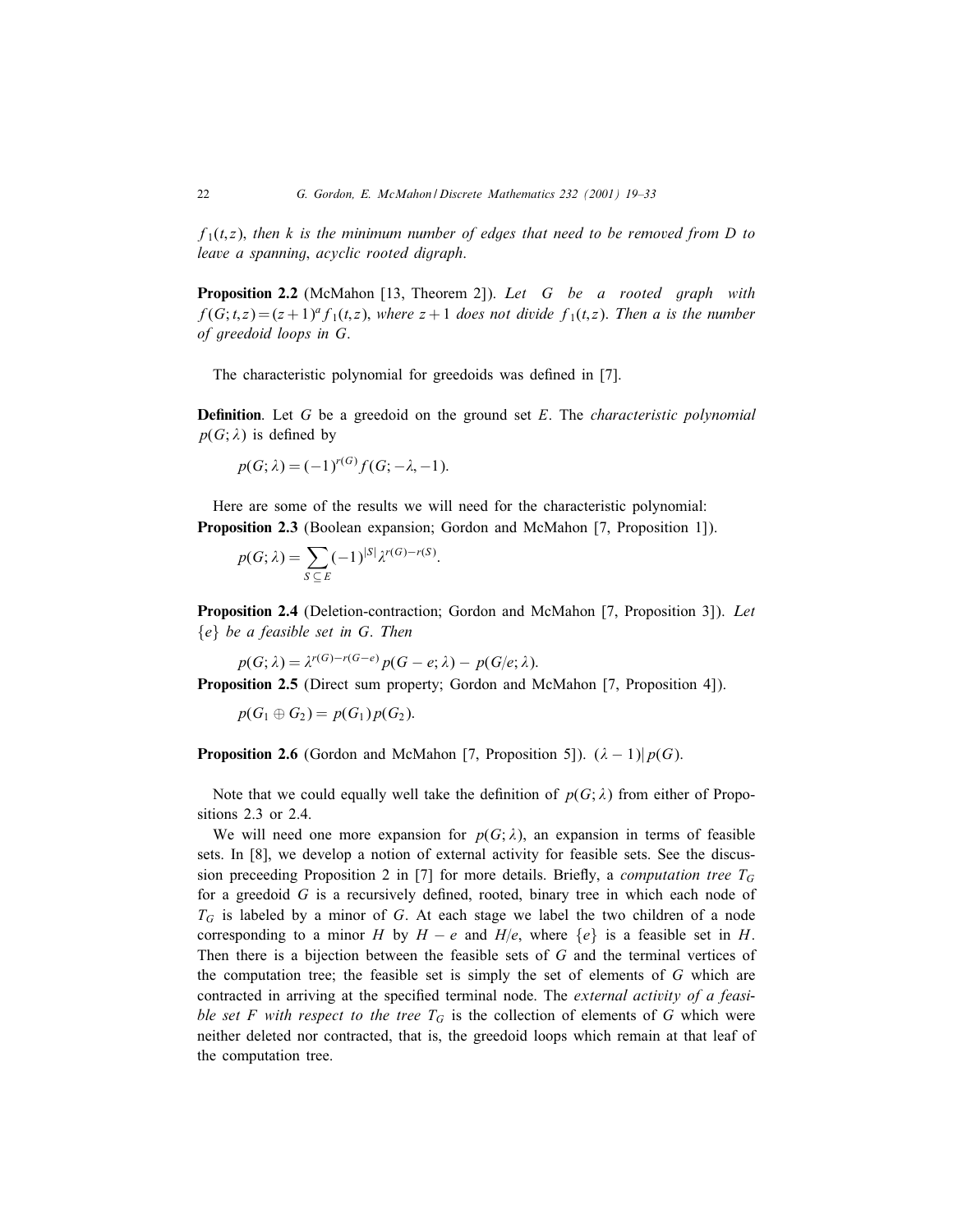$f_1(t, z)$ , *then* k *is the minimum number of edges that need to be removed from* D *to leave a spanning*; *acyclic rooted digraph*.

Proposition 2.2 (McMahon [13, Theorem 2]). *Let* G *be a rooted graph with*  $f(G; t, z) = (z + 1)^{a} f_1(t, z)$ , *where*  $z + 1$  *does not divide*  $f_1(t, z)$ . *Then* a *is the number of greedoid loops in* G.

The characteristic polynomial for greedoids was defined in [7].

**Definition**. Let G be a greedoid on the ground set E. The *characteristic polynomial*  $p(G; \lambda)$  is defined by

$$
p(G; \lambda) = (-1)^{r(G)} f(G; -\lambda, -1).
$$

Here are some of the results we will need for the characteristic polynomial: Proposition 2.3 (Boolean expansion; Gordon and McMahon [7, Proposition 1]).

$$
p(G; \lambda) = \sum_{S \subseteq E} (-1)^{|S|} \lambda^{r(G) - r(S)}.
$$

Proposition 2.4 (Deletion-contraction; Gordon and McMahon [7, Proposition 3]). *Let* {e} *be a feasible set in* G. *Then*

$$
p(G; \lambda) = \lambda^{r(G)-r(G-e)} p(G-e; \lambda) - p(G/e; \lambda).
$$

Proposition 2.5 (Direct sum property; Gordon and McMahon [7, Proposition 4]).

$$
p(G_1\oplus G_2)=p(G_1)p(G_2).
$$

**Proposition 2.6** (Gordon and McMahon [7, Proposition 5]).  $(\lambda - 1)|p(G)$ .

Note that we could equally well take the definition of  $p(G; \lambda)$  from either of Propositions 2.3 or 2.4.

We will need one more expansion for  $p(G; \lambda)$ , an expansion in terms of feasible sets. In [8], we develop a notion of external activity for feasible sets. See the discussion preceeding Proposition 2 in [7] for more details. Briefly, a *computation tree*  $T_G$ for a greedoid  $G$  is a recursively defined, rooted, binary tree in which each node of  $T_G$  is labeled by a minor of G. At each stage we label the two children of a node corresponding to a minor H by  $H - e$  and  $H/e$ , where  $\{e\}$  is a feasible set in H. Then there is a bijection between the feasible sets of G and the terminal vertices of the computation tree; the feasible set is simply the set of elements of G which are contracted in arriving at the specified terminal node. The *external activity of a feasible set* F *with respect to the tree*  $T_G$  is the collection of elements of G which were neither deleted nor contracted, that is, the greedoid loops which remain at that leaf of the computation tree.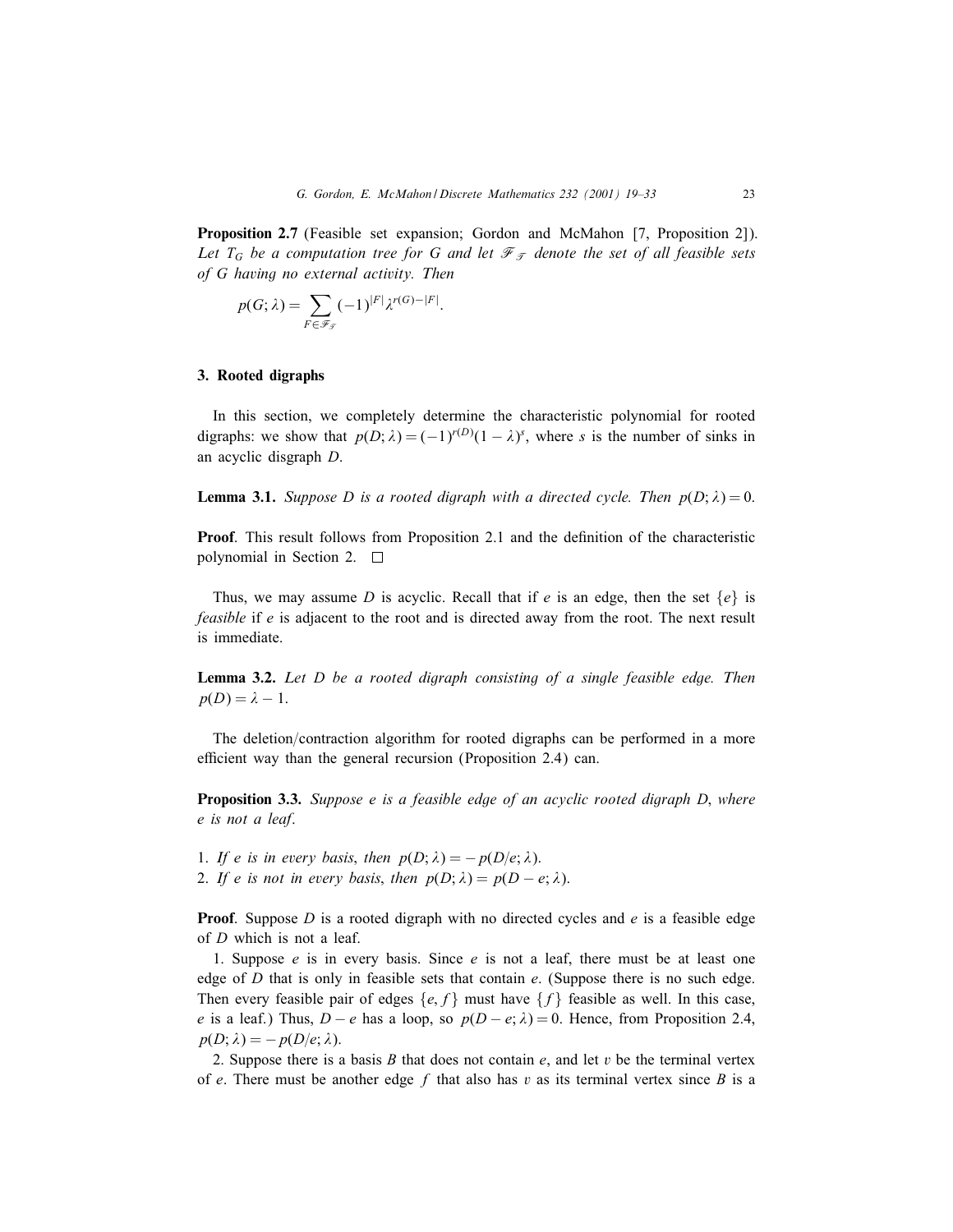Proposition 2.7 (Feasible set expansion; Gordon and McMahon [7, Proposition 2]). Let  $T_G$  be a computation tree for G and let  $\mathcal{F}_{\mathcal{T}}$  denote the set of all feasible sets *of* G *having no external activity. Then*

$$
p(G; \lambda) = \sum_{F \in \mathscr{F}_{\mathcal{F}}} (-1)^{|F|} \lambda^{r(G) - |F|}.
$$

#### 3. Rooted digraphs

In this section, we completely determine the characteristic polynomial for rooted digraphs: we show that  $p(D; \lambda) = (-1)^{r(D)}(1 - \lambda)^s$ , where s is the number of sinks in an acyclic disgraph D.

**Lemma 3.1.** *Suppose D is a rooted digraph with a directed cycle. Then*  $p(D; \lambda) = 0$ .

**Proof**. This result follows from Proposition 2.1 and the definition of the characteristic polynomial in Section 2.

Thus, we may assume D is acyclic. Recall that if e is an edge, then the set  $\{e\}$  is *feasible* if e is adjacent to the root and is directed away from the root. The next result is immediate.

Lemma 3.2. *Let* D *be a rooted digraph consisting of a single feasible edge. Then*  $p(D) = \lambda - 1.$ 

The deletion/contraction algorithm for rooted digraphs can be performed in a more efficient way than the general recursion (Proposition 2.4) can.

Proposition 3.3. *Suppose* e *is a feasible edge of an acyclic rooted digraph* D; *where* e *is not a leaf*.

1. If e is in every basis, then  $p(D; \lambda) = -p(D/e; \lambda)$ .

2. If e is not in every basis, then  $p(D; \lambda) = p(D - e; \lambda)$ .

**Proof.** Suppose D is a rooted digraph with no directed cycles and  $e$  is a feasible edge of D which is not a leaf.

1. Suppose  $e$  is in every basis. Since  $e$  is not a leaf, there must be at least one edge of  $D$  that is only in feasible sets that contain  $e$ . (Suppose there is no such edge. Then every feasible pair of edges  $\{e, f\}$  must have  $\{f\}$  feasible as well. In this case, e is a leaf.) Thus,  $D - e$  has a loop, so  $p(D - e; \lambda) = 0$ . Hence, from Proposition 2.4,  $p(D; \lambda) = -p(D/e; \lambda).$ 

2. Suppose there is a basis B that does not contain  $e$ , and let v be the terminal vertex of e. There must be another edge f that also has v as its terminal vertex since B is a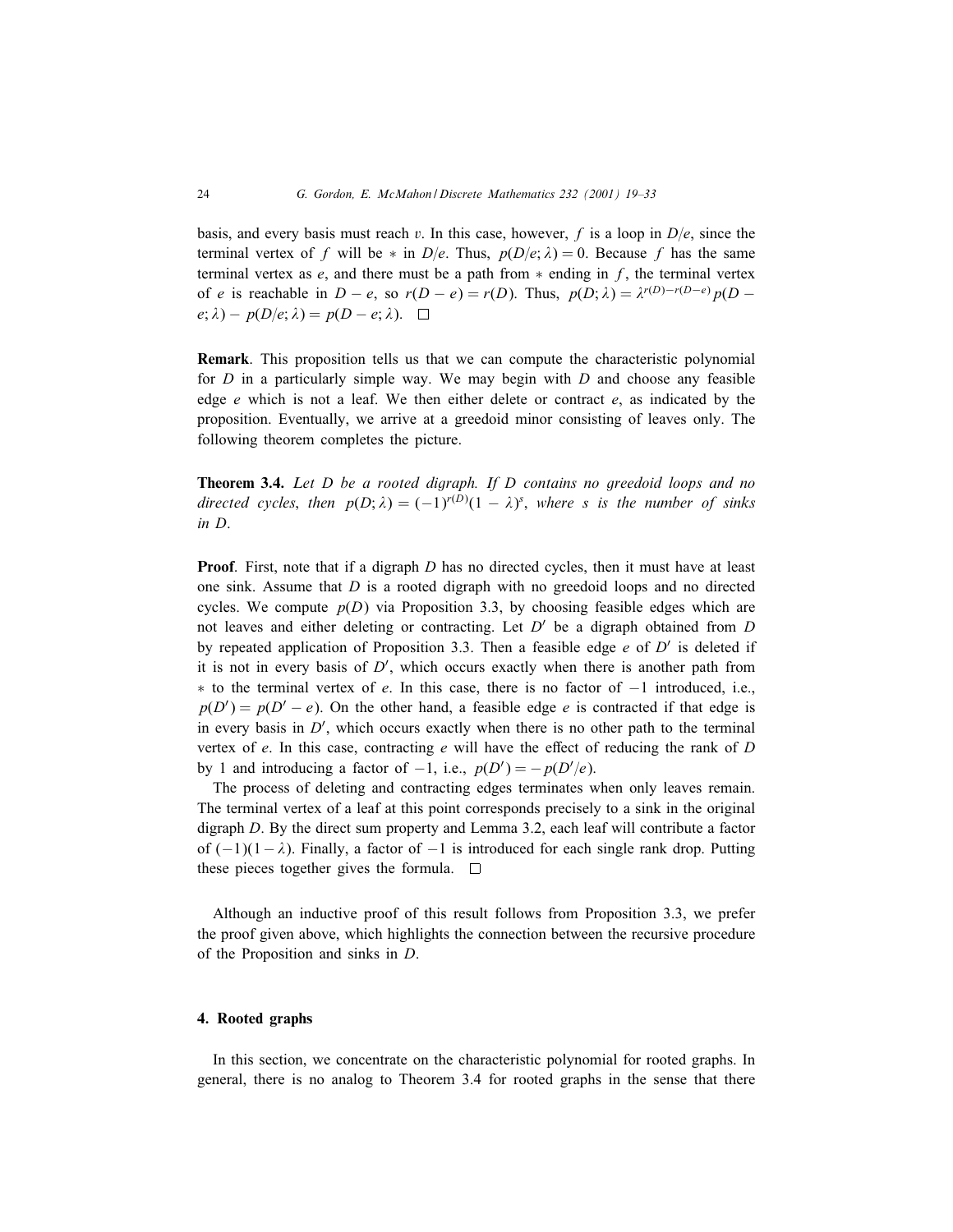basis, and every basis must reach v. In this case, however, f is a loop in  $D/e$ , since the terminal vertex of f will be  $*$  in  $D/e$ . Thus,  $p(D/e; \lambda) = 0$ . Because f has the same terminal vertex as e, and there must be a path from  $*$  ending in f, the terminal vertex of e is reachable in  $D - e$ , so  $r(D - e) = r(D)$ . Thus,  $p(D; \lambda) = \lambda^{r(D)-r(D-e)} p(D - e)$  $e; \lambda$  –  $p(D/e; \lambda) = p(D - e; \lambda)$ .

Remark: This proposition tells us that we can compute the characteristic polynomial for  $D$  in a particularly simple way. We may begin with  $D$  and choose any feasible edge  $e$  which is not a leaf. We then either delete or contract  $e$ , as indicated by the proposition. Eventually, we arrive at a greedoid minor consisting of leaves only. The following theorem completes the picture.

Theorem 3.4. *Let* D *be a rooted digraph. If* D *contains no greedoid loops and no directed cycles, then*  $p(D; \lambda) = (-1)^{r(D)}(1 - \lambda)^s$ , *where s is the number of sinks in* D.

**Proof.** First, note that if a digraph  $D$  has no directed cycles, then it must have at least one sink. Assume that  $D$  is a rooted digraph with no greedoid loops and no directed cycles. We compute  $p(D)$  via Proposition 3.3, by choosing feasible edges which are not leaves and either deleting or contracting. Let  $D'$  be a digraph obtained from D by repeated application of Proposition 3.3. Then a feasible edge e of  $D'$  is deleted if it is not in every basis of  $D'$ , which occurs exactly when there is another path from  $*$  to the terminal vertex of e. In this case, there is no factor of  $-1$  introduced, i.e.,  $p(D') = p(D' - e)$ . On the other hand, a feasible edge e is contracted if that edge is in every basis in  $D'$ , which occurs exactly when there is no other path to the terminal vertex of  $e$ . In this case, contracting  $e$  will have the effect of reducing the rank of  $D$ by 1 and introducing a factor of  $-1$ , i.e.,  $p(D') = -p(D'/e)$ .

The process of deleting and contracting edges terminates when only leaves remain. The terminal vertex of a leaf at this point corresponds precisely to a sink in the original digraph D. By the direct sum property and Lemma 3.2, each leaf will contribute a factor of  $(-1)(1-\lambda)$ . Finally, a factor of  $-1$  is introduced for each single rank drop. Putting these pieces together gives the formula.  $\square$ 

Although an inductive proof of this result follows from Proposition 3.3, we prefer the proof given above, which highlights the connection between the recursive procedure of the Proposition and sinks in D.

## 4. Rooted graphs

In this section, we concentrate on the characteristic polynomial for rooted graphs. In general, there is no analog to Theorem 3.4 for rooted graphs in the sense that there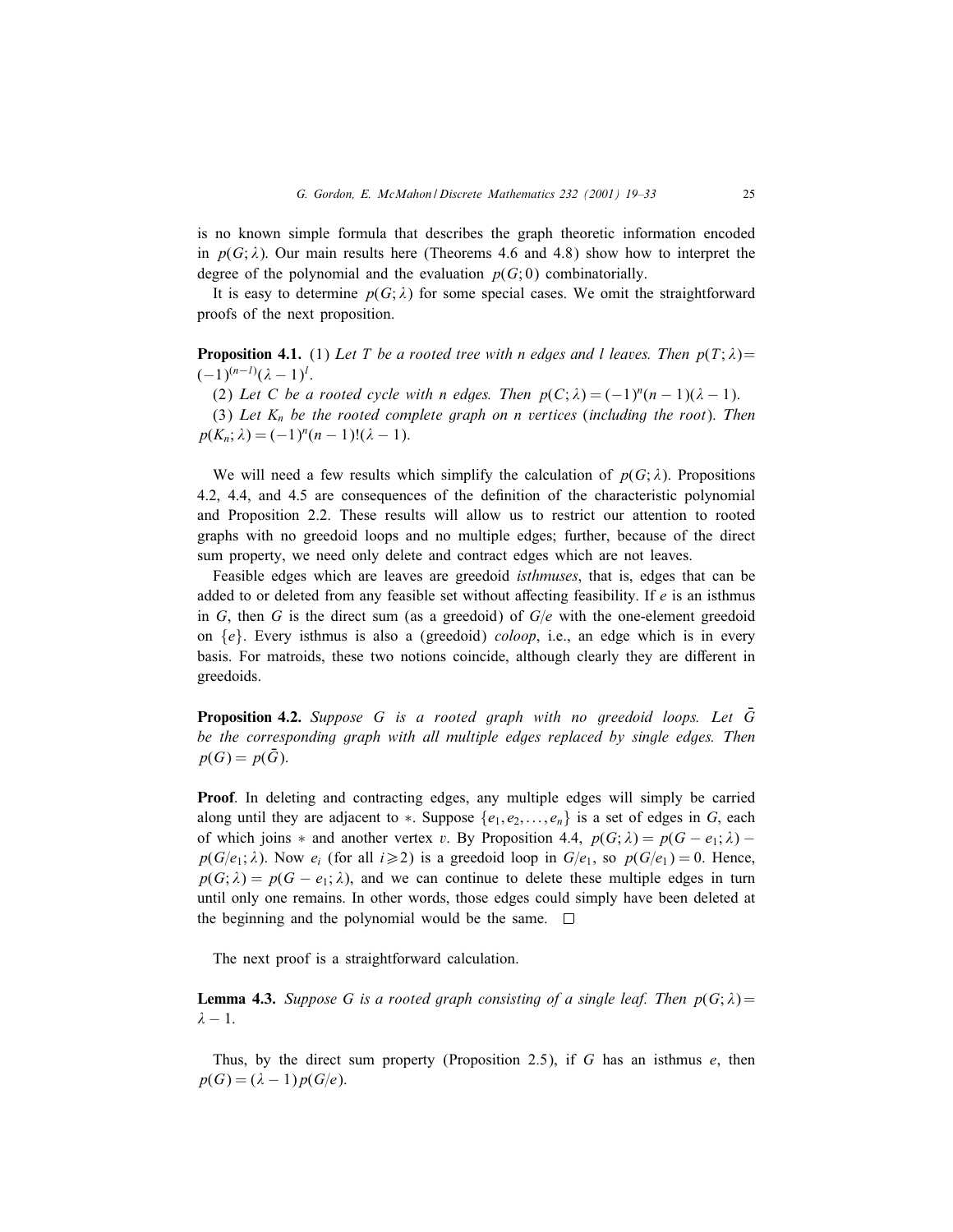is no known simple formula that describes the graph theoretic information encoded in  $p(G; \lambda)$ . Our main results here (Theorems 4.6 and 4.8) show how to interpret the degree of the polynomial and the evaluation  $p(G; 0)$  combinatorially.

It is easy to determine  $p(G; \lambda)$  for some special cases. We omit the straightforward proofs of the next proposition.

**Proposition 4.1.** (1) Let T be a rooted tree with n edges and l leaves. Then  $p(T; \lambda)$ =  $(-1)^{(n-l)}(\lambda - 1)^l$ .

(2) Let C be a rooted cycle with n edges. Then  $p(C; \lambda) = (-1)^n (n-1)(\lambda - 1)$ .

(3) *Let* Kn *be the rooted complete graph on* n *vertices* (*including the root*). *Then*  $p(K_n; \lambda) = (-1)^n (n - 1)!(\lambda - 1).$ 

We will need a few results which simplify the calculation of  $p(G; \lambda)$ . Propositions 4.2, 4.4, and 4.5 are consequences of the definition of the characteristic polynomial and Proposition 2.2. These results will allow us to restrict our attention to rooted graphs with no greedoid loops and no multiple edges; further, because of the direct sum property, we need only delete and contract edges which are not leaves.

Feasible edges which are leaves are greedoid *isthmuses*, that is, edges that can be added to or deleted from any feasible set without affecting feasibility. If  $e$  is an isthmus in G, then G is the direct sum (as a greedoid) of  $G/e$  with the one-element greedoid on  $\{e\}$ . Every isthmus is also a (greedoid) *coloop*, i.e., an edge which is in every basis. For matroids, these two notions coincide, although clearly they are different in greedoids.

**Proposition 4.2.** Suppose G is a rooted graph with no greedoid loops. Let  $\bar{G}$ *be the corresponding graph with all multiple edges replaced by single edges. Then*  $p(G) = p(\bar{G}).$ 

Proof. In deleting and contracting edges, any multiple edges will simply be carried along until they are adjacent to  $*$ . Suppose  $\{e_1, e_2, \ldots, e_n\}$  is a set of edges in G, each of which joins \* and another vertex v. By Proposition 4.4,  $p(G; \lambda) = p(G - e_1; \lambda)$  –  $p(G|e_1; \lambda)$ . Now  $e_i$  (for all  $i \geq 2$ ) is a greedoid loop in  $G/e_1$ , so  $p(G/e_1) = 0$ . Hence,  $p(G; \lambda) = p(G - e_1; \lambda)$ , and we can continue to delete these multiple edges in turn until only one remains. In other words, those edges could simply have been deleted at the beginning and the polynomial would be the same.  $\square$ 

The next proof is a straightforward calculation.

**Lemma 4.3.** *Suppose* G *is a rooted graph consisting of a single leaf. Then*  $p(G; \lambda) =$  $\lambda - 1$ .

Thus, by the direct sum property (Proposition 2.5), if G has an isthmus  $e$ , then  $p(G) = (\lambda - 1)p(G/e).$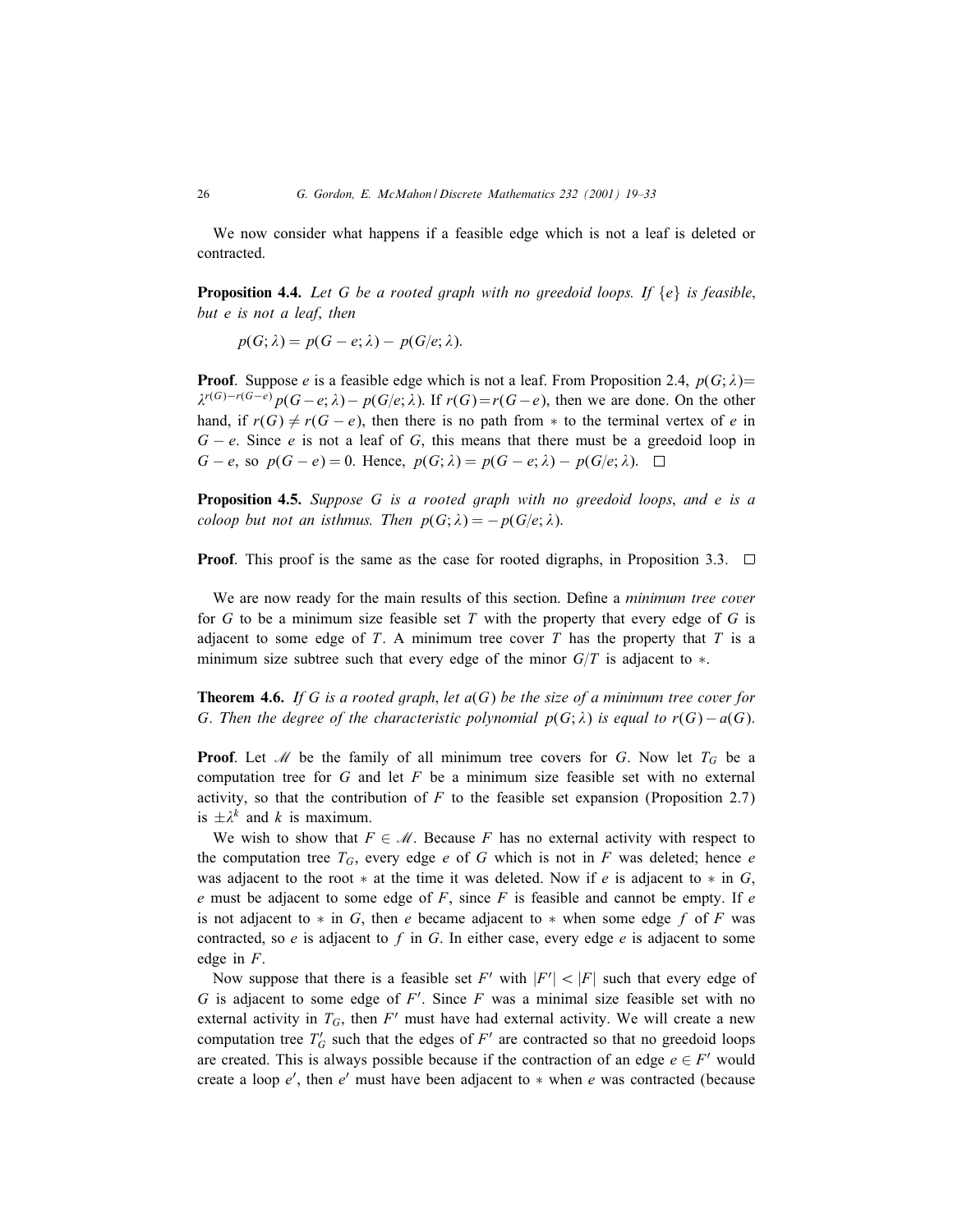We now consider what happens if a feasible edge which is not a leaf is deleted or contracted.

Proposition 4.4. *Let* G *be a rooted graph with no greedoid loops. If* {e} *is feasible*; *but* e *is not a leaf*; *then*

 $p(G; \lambda) = p(G - e; \lambda) - p(G/e; \lambda).$ 

**Proof.** Suppose e is a feasible edge which is not a leaf. From Proposition 2.4,  $p(G; \lambda)$ =  $\lambda^{r(G)-r(G-e)} p(G-e; \lambda) - p(G/e; \lambda)$ . If  $r(G)=r(G-e)$ , then we are done. On the other hand, if  $r(G) \neq r(G - e)$ , then there is no path from  $*$  to the terminal vertex of e in  $G - e$ . Since e is not a leaf of G, this means that there must be a greedoid loop in  $G - e$ , so  $p(G - e) = 0$ . Hence,  $p(G; \lambda) = p(G - e; \lambda) - p(G/e; \lambda)$ .  $\Box$ 

Proposition 4.5. *Suppose* G *is a rooted graph with no greedoid loops*; *and* e *is a coloop but not an isthmus. Then*  $p(G; \lambda) = -p(G/e; \lambda)$ .

**Proof.** This proof is the same as the case for rooted digraphs, in Proposition 3.3.  $\Box$ 

We are now ready for the main results of this section. Define a *minimum tree cover* for  $G$  to be a minimum size feasible set  $T$  with the property that every edge of  $G$  is adjacent to some edge of  $T$ . A minimum tree cover  $T$  has the property that  $T$  is a minimum size subtree such that every edge of the minor  $G/T$  is adjacent to  $\ast$ .

Theorem 4.6. *If* G *is a rooted graph*; *let* a(G) *be the size of a minimum tree cover for* G. Then the degree of the characteristic polynomial  $p(G; \lambda)$  is equal to  $r(G) - a(G)$ .

**Proof.** Let M be the family of all minimum tree covers for G. Now let  $T_G$  be a computation tree for  $G$  and let  $F$  be a minimum size feasible set with no external activity, so that the contribution of  $F$  to the feasible set expansion (Proposition 2.7) is  $\pm \lambda^k$  and k is maximum.

We wish to show that  $F \in \mathcal{M}$ . Because F has no external activity with respect to the computation tree  $T_G$ , every edge e of G which is not in F was deleted; hence e was adjacent to the root  $*$  at the time it was deleted. Now if e is adjacent to  $*$  in G, e must be adjacent to some edge of  $F$ , since  $F$  is feasible and cannot be empty. If e is not adjacent to  $*$  in G, then e became adjacent to  $*$  when some edge f of F was contracted, so e is adjacent to f in G. In either case, every edge e is adjacent to some edge in F.

Now suppose that there is a feasible set F' with  $|F'| < |F|$  such that every edge of G is adjacent to some edge of  $F'$ . Since F was a minimal size feasible set with no external activity in  $T_G$ , then  $F'$  must have had external activity. We will create a new computation tree  $T_G$  such that the edges of  $F'$  are contracted so that no greedoid loops are created. This is always possible because if the contraction of an edge  $e \in F'$  would create a loop  $e'$ , then  $e'$  must have been adjacent to  $*$  when  $e$  was contracted (because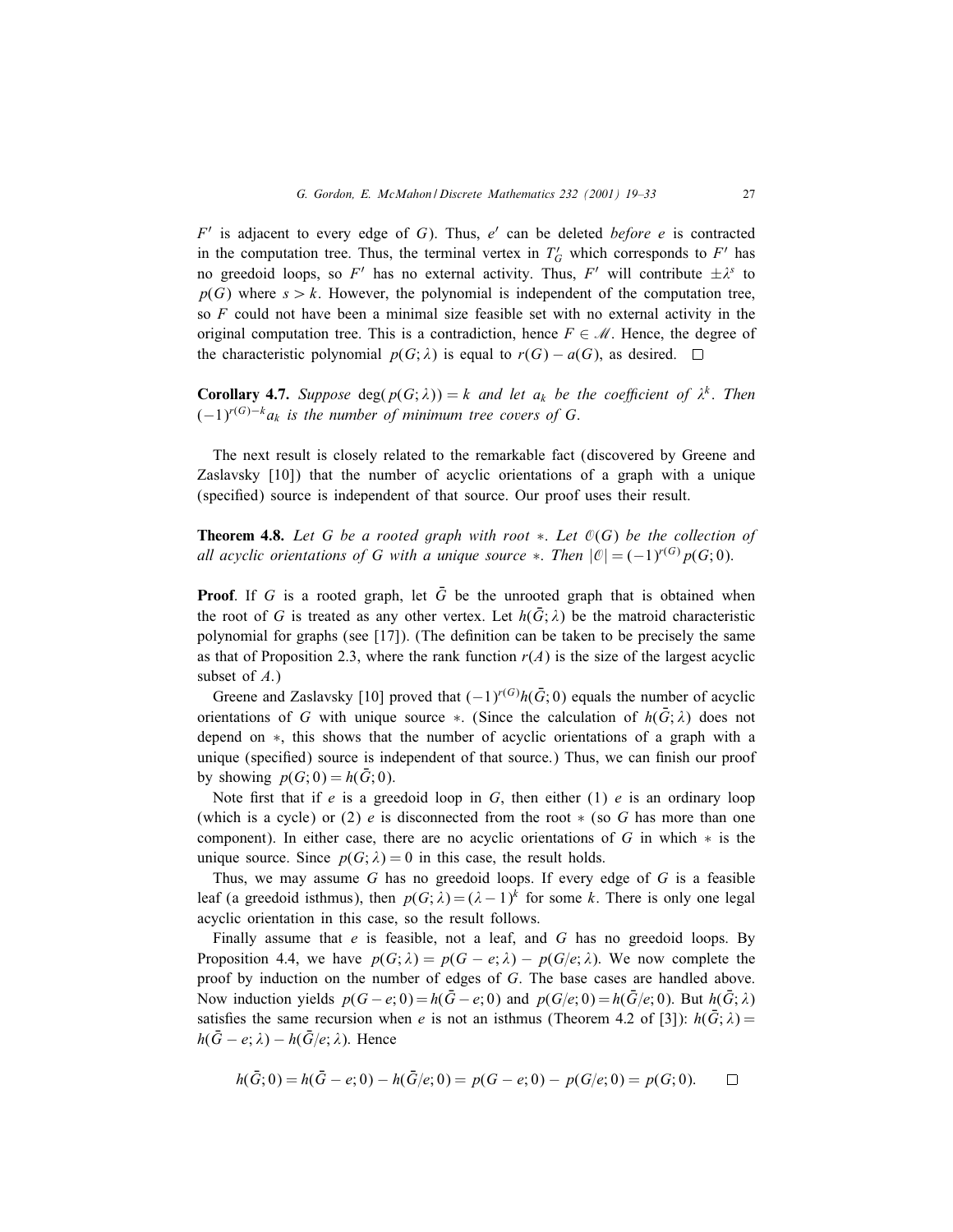$F'$  is adjacent to every edge of G). Thus,  $e'$  can be deleted *before*  $e$  is contracted in the computation tree. Thus, the terminal vertex in  $T'_G$  which corresponds to  $F'$  has no greedoid loops, so F' has no external activity. Thus, F' will contribute  $\pm \lambda^s$  to  $p(G)$  where  $s > k$ . However, the polynomial is independent of the computation tree, so  $F$  could not have been a minimal size feasible set with no external activity in the original computation tree. This is a contradiction, hence  $F \in \mathcal{M}$ . Hence, the degree of the characteristic polynomial  $p(G; \lambda)$  is equal to  $r(G) - a(G)$ , as desired. □

**Corollary 4.7.** *Suppose* deg( $p(G; \lambda)$ ) = k and let  $a_k$  be the coefficient of  $\lambda^k$ . Then  $(-1)^{r(G)-k}a_k$  *is the number of minimum tree covers of G.* 

The next result is closely related to the remarkable fact (discovered by Greene and Zaslavsky [10]) that the number of acyclic orientations of a graph with a unique (specified) source is independent of that source. Our proof uses their result.

Theorem 4.8. *Let* G *be a rooted graph with root* ∗. *Let* O(G) *be the collection of all acyclic orientations of G with a unique source*  $*$ . *Then*  $|\mathcal{O}| = (-1)^{r(G)} p(G; 0)$ .

**Proof.** If G is a rooted graph, let  $\overline{G}$  be the unrooted graph that is obtained when the root of G is treated as any other vertex. Let  $h(\bar{G}; \lambda)$  be the matroid characteristic polynomial for graphs (see  $[17]$ ). (The definition can be taken to be precisely the same as that of Proposition 2.3, where the rank function  $r(A)$  is the size of the largest acyclic subset of  $A$ .)

Greene and Zaslavsky [10] proved that  $(-1)^{r(G)}h(\bar{G};0)$  equals the number of acyclic orientations of G with unique source \*. (Since the calculation of  $h(\bar{G}; \lambda)$  does not depend on ∗, this shows that the number of acyclic orientations of a graph with a unique (specified) source is independent of that source.) Thus, we can finish our proof by showing  $p(G; 0) = h(\bar{G}; 0)$ .

Note first that if e is a greedoid loop in G, then either (1) e is an ordinary loop (which is a cycle) or (2) e is disconnected from the root  $\ast$  (so G has more than one component). In either case, there are no acyclic orientations of G in which  $*$  is the unique source. Since  $p(G; \lambda) = 0$  in this case, the result holds.

Thus, we may assume  $G$  has no greedoid loops. If every edge of  $G$  is a feasible leaf (a greedoid isthmus), then  $p(G; \lambda) = (\lambda - 1)^k$  for some k. There is only one legal acyclic orientation in this case, so the result follows.

Finally assume that  $e$  is feasible, not a leaf, and  $G$  has no greedoid loops. By Proposition 4.4, we have  $p(G; \lambda) = p(G - e; \lambda) - p(G/e; \lambda)$ . We now complete the proof by induction on the number of edges of G. The base cases are handled above. Now induction yields  $p(G - e; 0) = h(\bar{G} - e; 0)$  and  $p(G/e; 0) = h(\bar{G}/e; 0)$ . But  $h(\bar{G}; \lambda)$ satisfies the same recursion when e is not an isthmus (Theorem 4.2 of [3]):  $h(\bar{G}; \lambda) =$  $h(\bar{G}-e; \lambda) - h(\bar{G}/e; \lambda)$ . Hence

$$
h(\bar{G};0) = h(\bar{G}-e;0) - h(\bar{G}/e;0) = p(G-e;0) - p(G/e;0) = p(G;0). \square
$$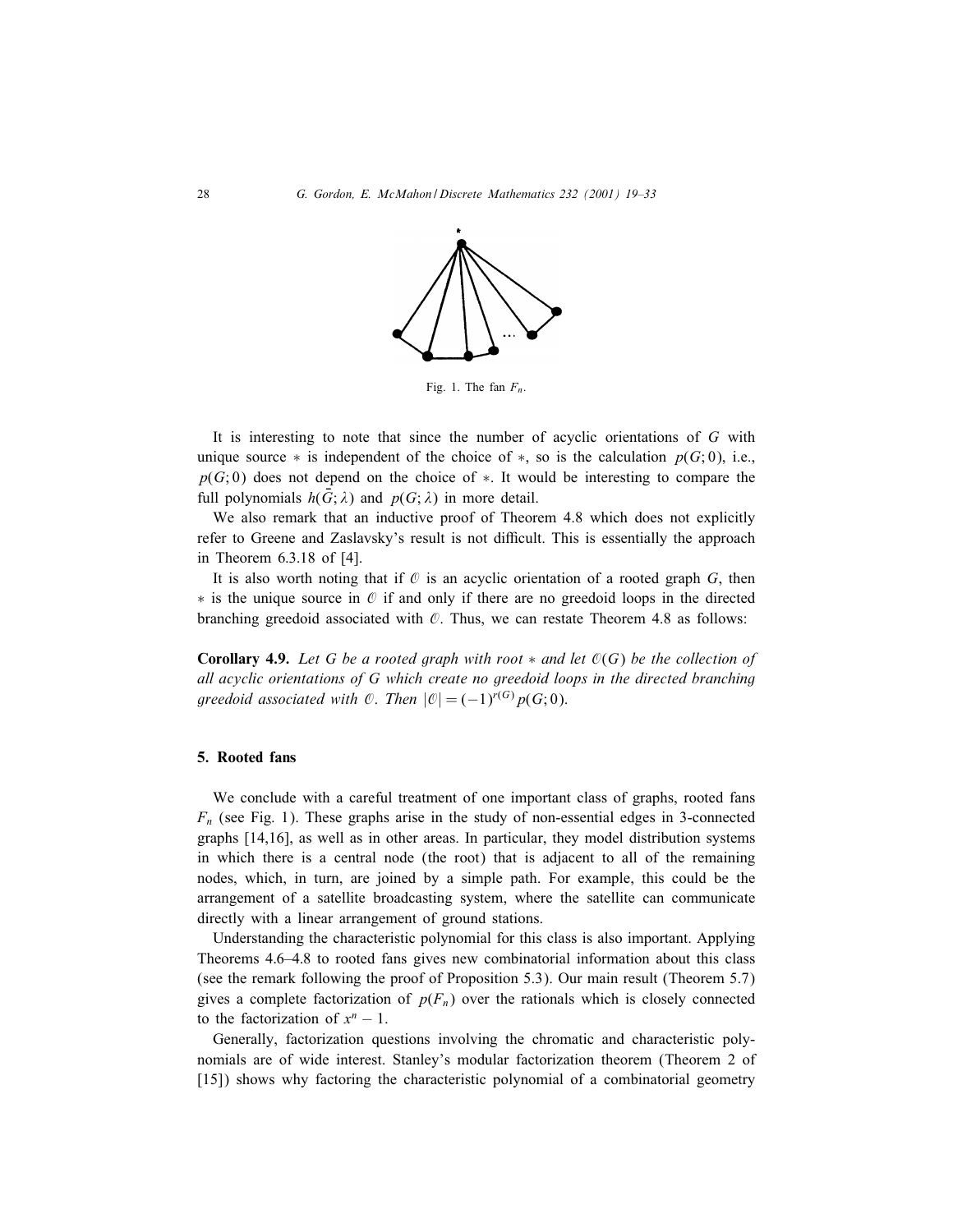

Fig. 1. The fan  $F_n$ .

It is interesting to note that since the number of acyclic orientations of  $G$  with unique source  $*$  is independent of the choice of  $*$ , so is the calculation  $p(G; 0)$ , i.e.,  $p(G; 0)$  does not depend on the choice of  $*$ . It would be interesting to compare the full polynomials  $h(\bar{G}; \lambda)$  and  $p(G; \lambda)$  in more detail.

We also remark that an inductive proof of Theorem 4.8 which does not explicitly refer to Greene and Zaslavsky's result is not difficult. This is essentially the approach in Theorem 6:3:18 of [4].

It is also worth noting that if  $\mathcal O$  is an acyclic orientation of a rooted graph  $G$ , then  $*$  is the unique source in  $\mathcal O$  if and only if there are no greedoid loops in the directed branching greedoid associated with  $\mathcal{O}$ . Thus, we can restate Theorem 4.8 as follows:

Corollary 4.9. *Let* G *be a rooted graph with root* ∗ *and let* O(G) *be the collection of all acyclic orientations of* G *which create no greedoid loops in the directed branching greedoid associated with*  $\emptyset$ . *Then*  $|\emptyset| = (-1)^{r(G)} p(G; 0)$ .

# 5. Rooted fans

We conclude with a careful treatment of one important class of graphs, rooted fans  $F_n$  (see Fig. 1). These graphs arise in the study of non-essential edges in 3-connected graphs [14,16], as well as in other areas. In particular, they model distribution systems in which there is a central node (the root) that is adjacent to all of the remaining nodes, which, in turn, are joined by a simple path. For example, this could be the arrangement of a satellite broadcasting system, where the satellite can communicate directly with a linear arrangement of ground stations.

Understanding the characteristic polynomial for this class is also important. Applying Theorems 4:6–4:8 to rooted fans gives new combinatorial information about this class (see the remark following the proof of Proposition 5.3). Our main result (Theorem 5.7) gives a complete factorization of  $p(F_n)$  over the rationals which is closely connected to the factorization of  $x<sup>n</sup> - 1$ .

Generally, factorization questions involving the chromatic and characteristic polynomials are of wide interest. Stanley's modular factorization theorem (Theorem 2 of [15]) shows why factoring the characteristic polynomial of a combinatorial geometry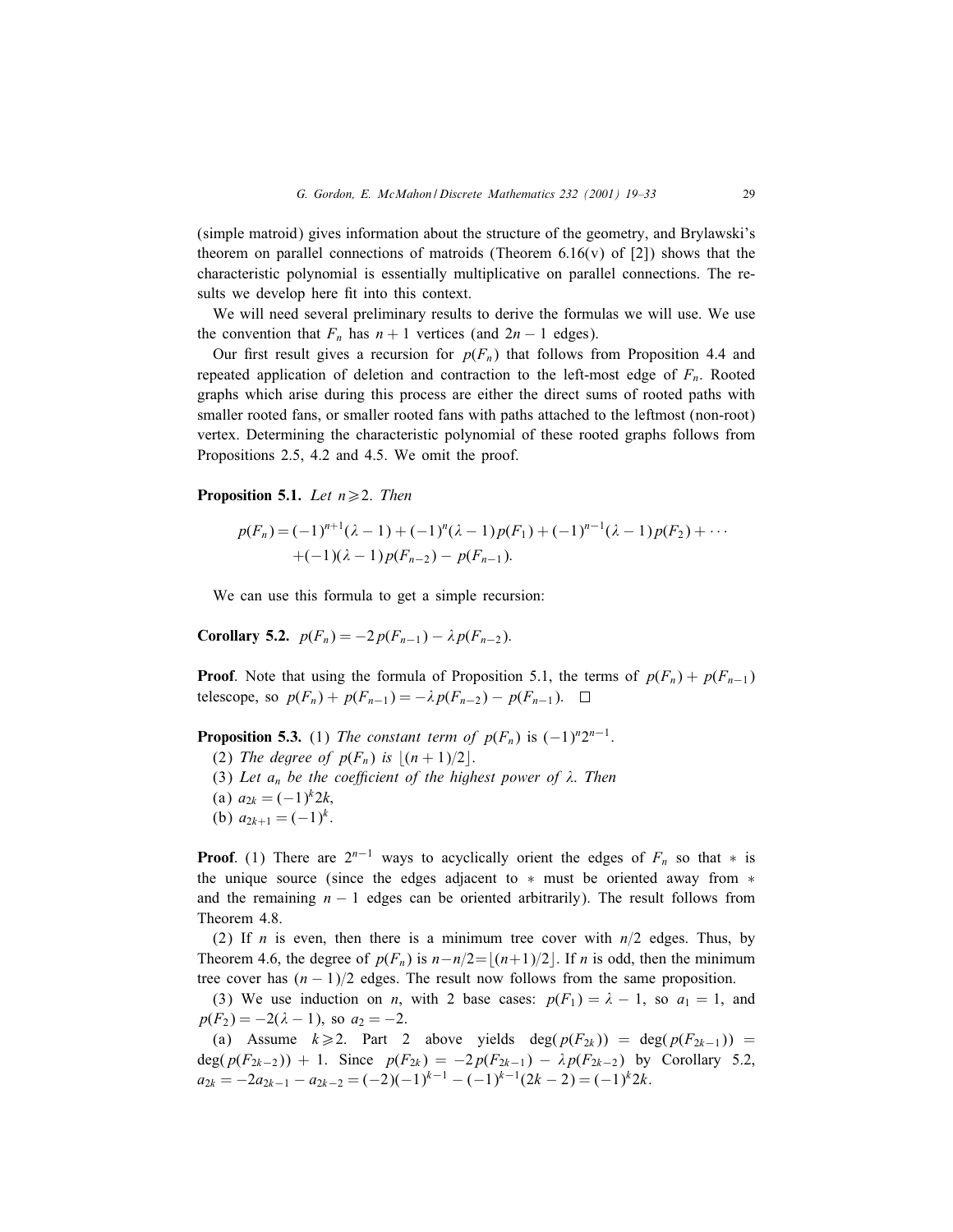(simple matroid) gives information about the structure of the geometry, and Brylawski's theorem on parallel connections of matroids (Theorem 6.16(v) of [2]) shows that the characteristic polynomial is essentially multiplicative on parallel connections. The results we develop here fit into this context.

We will need several preliminary results to derive the formulas we will use. We use the convention that  $F_n$  has  $n + 1$  vertices (and  $2n - 1$  edges).

Our first result gives a recursion for  $p(F_n)$  that follows from Proposition 4.4 and repeated application of deletion and contraction to the left-most edge of  $F_n$ . Rooted graphs which arise during this process are either the direct sums of rooted paths with smaller rooted fans, or smaller rooted fans with paths attached to the leftmost (non-root) vertex. Determining the characteristic polynomial of these rooted graphs follows from Propositions 2.5, 4.2 and 4.5. We omit the proof.

**Proposition 5.1.** *Let*  $n \ge 2$ *. Then* 

$$
p(F_n) = (-1)^{n+1} (\lambda - 1) + (-1)^n (\lambda - 1) p(F_1) + (-1)^{n-1} (\lambda - 1) p(F_2) + \cdots
$$
  
+  $(-1)(\lambda - 1) p(F_{n-2}) - p(F_{n-1}).$ 

We can use this formula to get a simple recursion:

Corollary 5.2.  $p(F_n) = -2p(F_{n-1}) - \lambda p(F_{n-2}).$ 

**Proof.** Note that using the formula of Proposition 5.1, the terms of  $p(F_n) + p(F_{n-1})$ telescope, so  $p(F_n) + p(F_{n-1}) = -\lambda p(F_{n-2}) - p(F_{n-1})$ . □

**Proposition 5.3.** (1) *The constant term of*  $p(F_n)$  is  $(-1)^n 2^{n-1}$ .

- (2) *The degree of*  $p(F_n)$  *is*  $|(n+1)/2|$ .
- (3) Let  $a_n$  be the coefficient of the highest power of  $\lambda$ . Then
- (a)  $a_{2k} = (-1)^k 2k$
- (b)  $a_{2k+1} = (-1)^k$ .

**Proof.** (1) There are  $2^{n-1}$  ways to acyclically orient the edges of  $F_n$  so that  $*$  is the unique source (since the edges adjacent to ∗ must be oriented away from ∗ and the remaining  $n - 1$  edges can be oriented arbitrarily). The result follows from Theorem 4.8.

(2) If *n* is even, then there is a minimum tree cover with  $n/2$  edges. Thus, by Theorem 4.6, the degree of  $p(F_n)$  is  $n-n/2=|(n+1)/2|$ . If n is odd, then the minimum tree cover has  $(n - 1)/2$  edges. The result now follows from the same proposition.

(3) We use induction on *n*, with 2 base cases:  $p(F_1) = \lambda - 1$ , so  $a_1 = 1$ , and  $p(F_2) = -2(\lambda - 1)$ , so  $a_2 = -2$ .

(a) Assume  $k \geq 2$ . Part 2 above yields deg( $p(F_{2k})$ ) = deg( $p(F_{2k-1})$ ) = deg( $p(F_{2k-2})$ ) + 1. Since  $p(F_{2k}) = -2p(F_{2k-1}) - \lambda p(F_{2k-2})$  by Corollary 5.2,  $a_{2k} = -2a_{2k-1} - a_{2k-2} = (-2)(-1)^{k-1} - (-1)^{k-1}(2k-2) = (-1)^k 2k.$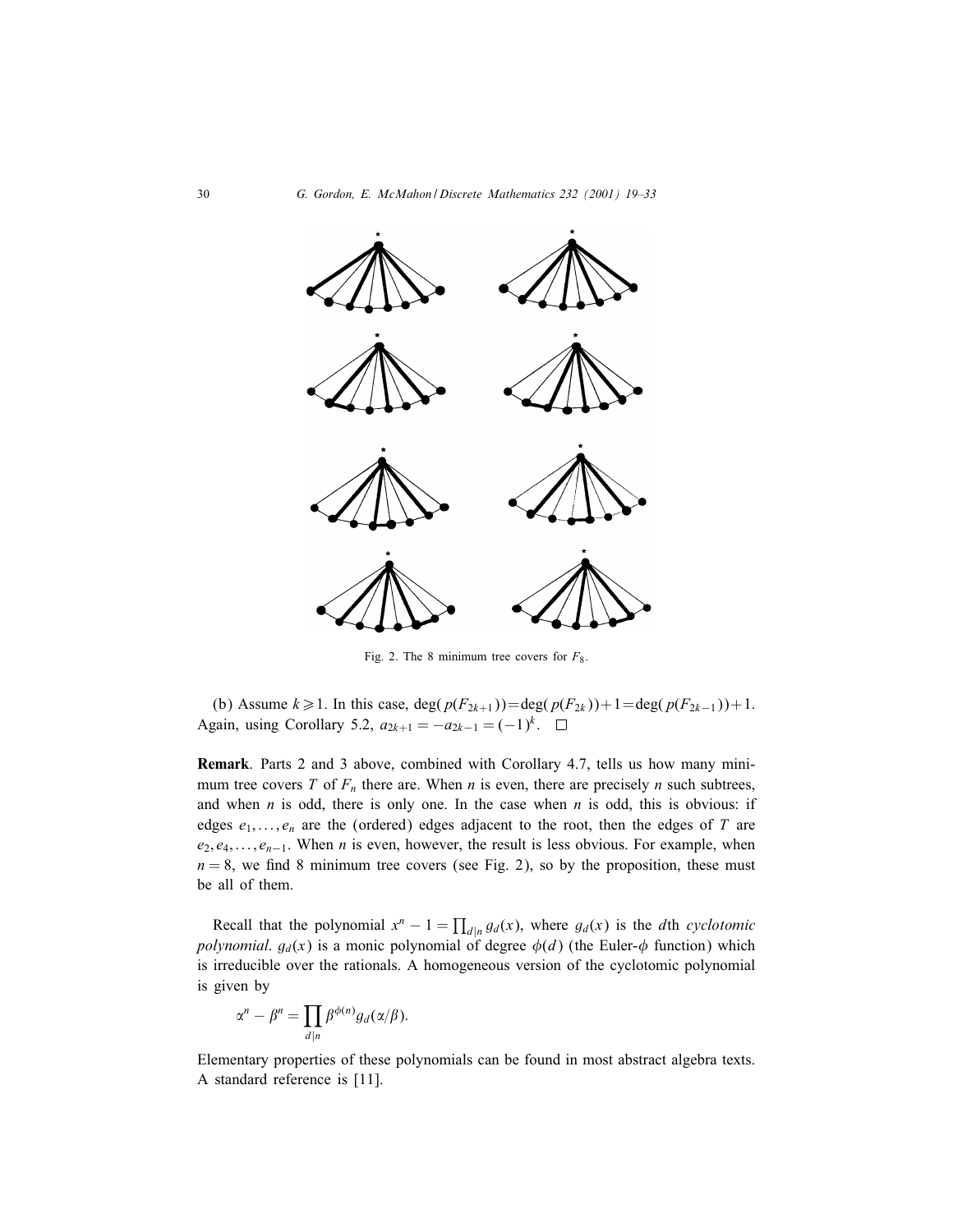

Fig. 2. The 8 minimum tree covers for  $F_8$ .

(b) Assume  $k \ge 1$ . In this case, deg( $p(F_{2k+1})$ )=deg( $p(F_{2k})$ )+1=deg( $p(F_{2k-1})$ )+1. Again, using Corollary 5.2,  $a_{2k+1} = -a_{2k-1} = (-1)^k$ . □

Remark: Parts 2 and 3 above, combined with Corollary 4.7, tells us how many minimum tree covers T of  $F_n$  there are. When n is even, there are precisely n such subtrees, and when  $n$  is odd, there is only one. In the case when  $n$  is odd, this is obvious: if edges  $e_1, \ldots, e_n$  are the (ordered) edges adjacent to the root, then the edges of T are  $e_2, e_4, \ldots, e_{n-1}$ . When *n* is even, however, the result is less obvious. For example, when  $n = 8$ , we find 8 minimum tree covers (see Fig. 2), so by the proposition, these must be all of them.

Recall that the polynomial  $x^n - 1 = \prod_{d|n} g_d(x)$ , where  $g_d(x)$  is the dth *cyclotomic polynomial.*  $g_d(x)$  is a monic polynomial of degree  $\phi(d)$  (the Euler- $\phi$  function) which is irreducible over the rationals. A homogeneous version of the cyclotomic polynomial is given by

$$
\alpha^n - \beta^n = \prod_{d|n} \beta^{\phi(n)} g_d(\alpha/\beta).
$$

Elementary properties of these polynomials can be found in most abstract algebra texts. A standard reference is [11].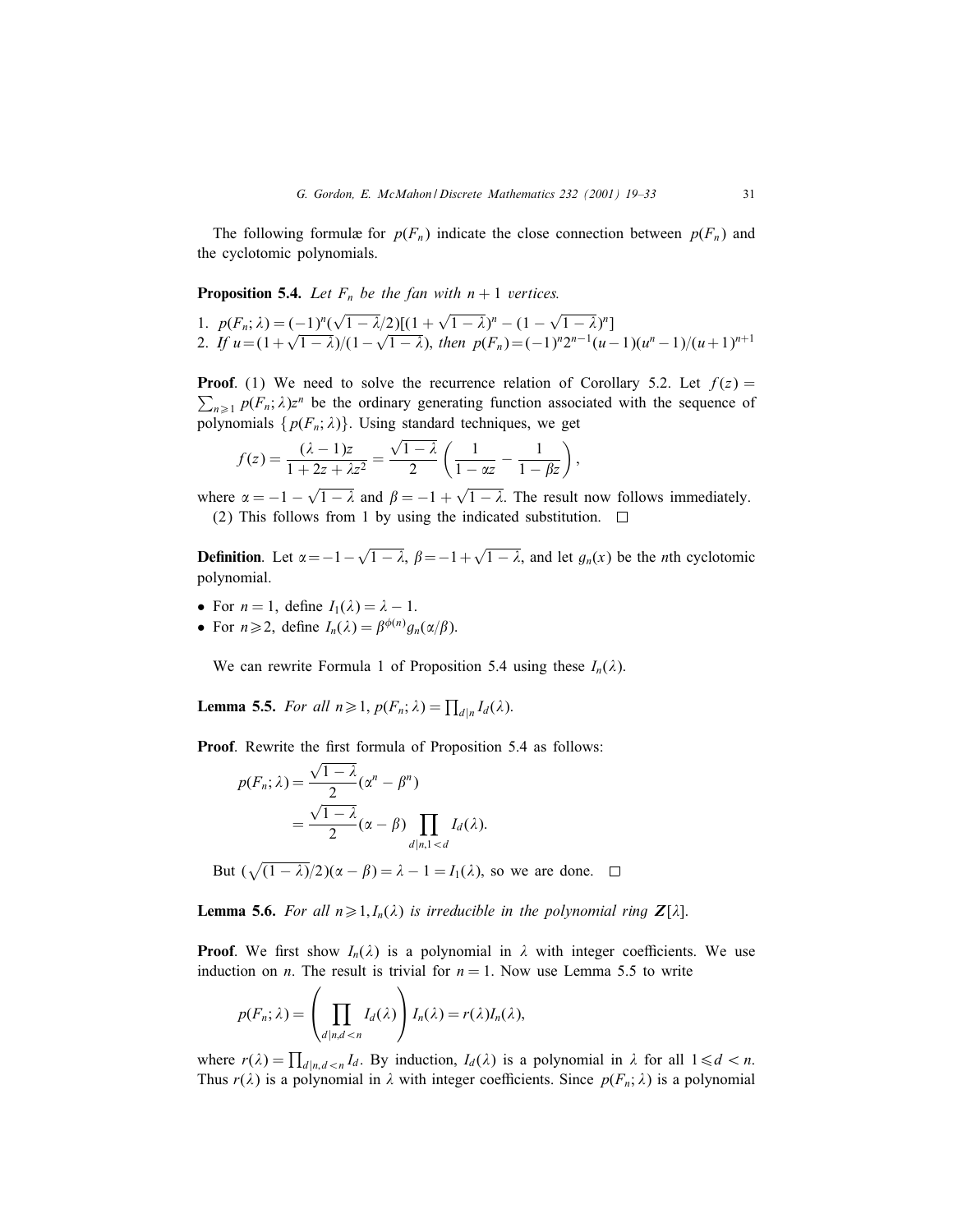The following formulæ for  $p(F_n)$  indicate the close connection between  $p(F_n)$  and the cyclotomic polynomials.

**Proposition 5.4.** *Let*  $F_n$  *be the fan with*  $n + 1$  *vertices.* 

1.  $p(F_n; \lambda) = (-1)^n (\sqrt{1 - \lambda}/2)[(1 + \sqrt{1 - \lambda})^n - (1 - \sqrt{1 - \lambda})^n]$ 2. *If*  $u = (1 + \sqrt{1 - \lambda})/(1 - \sqrt{1 - \lambda})$ , *then*  $p(F_n) = (-1)^n 2^{n-1}(u-1)(u^n-1)/(u+1)^{n+1}$ 

**Proof.** (1) We need to solve the recurrence relation of Corollary 5.2. Let  $f(z) =$  $\sum_{n\geq 1} p(F_n; \lambda)z^n$  be the ordinary generating function associated with the sequence of polynomials  $\{p(F_n; \lambda)\}\$ . Using standard techniques, we get

$$
f(z) = \frac{(\lambda - 1)z}{1 + 2z + \lambda z^2} = \frac{\sqrt{1 - \lambda}}{2} \left( \frac{1}{1 - \alpha z} - \frac{1}{1 - \beta z} \right),
$$

where  $\alpha = -1 - \sqrt{1 - \lambda}$  and  $\beta = -1 + \sqrt{1 - \lambda}$ . The result now follows immediately.

(2) This follows from 1 by using the indicated substitution.  $\Box$ 

**Definition**. Let  $\alpha = -1 - \sqrt{1 - \lambda}$ ,  $\beta = -1 + \sqrt{1 - \lambda}$ , and let  $g_n(x)$  be the *n*th cyclotomic polynomial.

- For  $n = 1$ , define  $I_1(\lambda) = \lambda 1$ .
- For  $n \geq 2$ , define  $I_n(\lambda) = \beta^{\phi(n)} g_n(\alpha/\beta)$ .

We can rewrite Formula 1 of Proposition 5.4 using these  $I_n(\lambda)$ .

**Lemma 5.5.** For all  $n \ge 1$ ,  $p(F_n; \lambda) = \prod_{d|n} I_d(\lambda)$ .

Proof. Rewrite the first formula of Proposition 5.4 as follows:

$$
p(F_n; \lambda) = \frac{\sqrt{1 - \lambda}}{2} (\alpha^n - \beta^n)
$$
  
= 
$$
\frac{\sqrt{1 - \lambda}}{2} (\alpha - \beta) \prod_{d | n, 1 < d} I_d(\lambda).
$$

But  $(\sqrt{(1 - \lambda)}/2)(\alpha - \beta) = \lambda - 1 = I_1(\lambda)$ , so we are done.  $\square$ 

**Lemma 5.6.** For all  $n \geq 1, I_n(\lambda)$  is irreducible in the polynomial ring  $\mathbb{Z}[\lambda]$ .

**Proof.** We first show  $I_n(\lambda)$  is a polynomial in  $\lambda$  with integer coefficients. We use induction on *n*. The result is trivial for  $n = 1$ . Now use Lemma 5.5 to write

$$
p(F_n; \lambda) = \left(\prod_{d|n, d < n} I_d(\lambda)\right) I_n(\lambda) = r(\lambda) I_n(\lambda),
$$

where  $r(\lambda) = \prod_{d|n, d < n} I_d$ . By induction,  $I_d(\lambda)$  is a polynomial in  $\lambda$  for all  $1 \le d < n$ . Thus  $r(\lambda)$  is a polynomial in  $\lambda$  with integer coefficients. Since  $p(F_n; \lambda)$  is a polynomial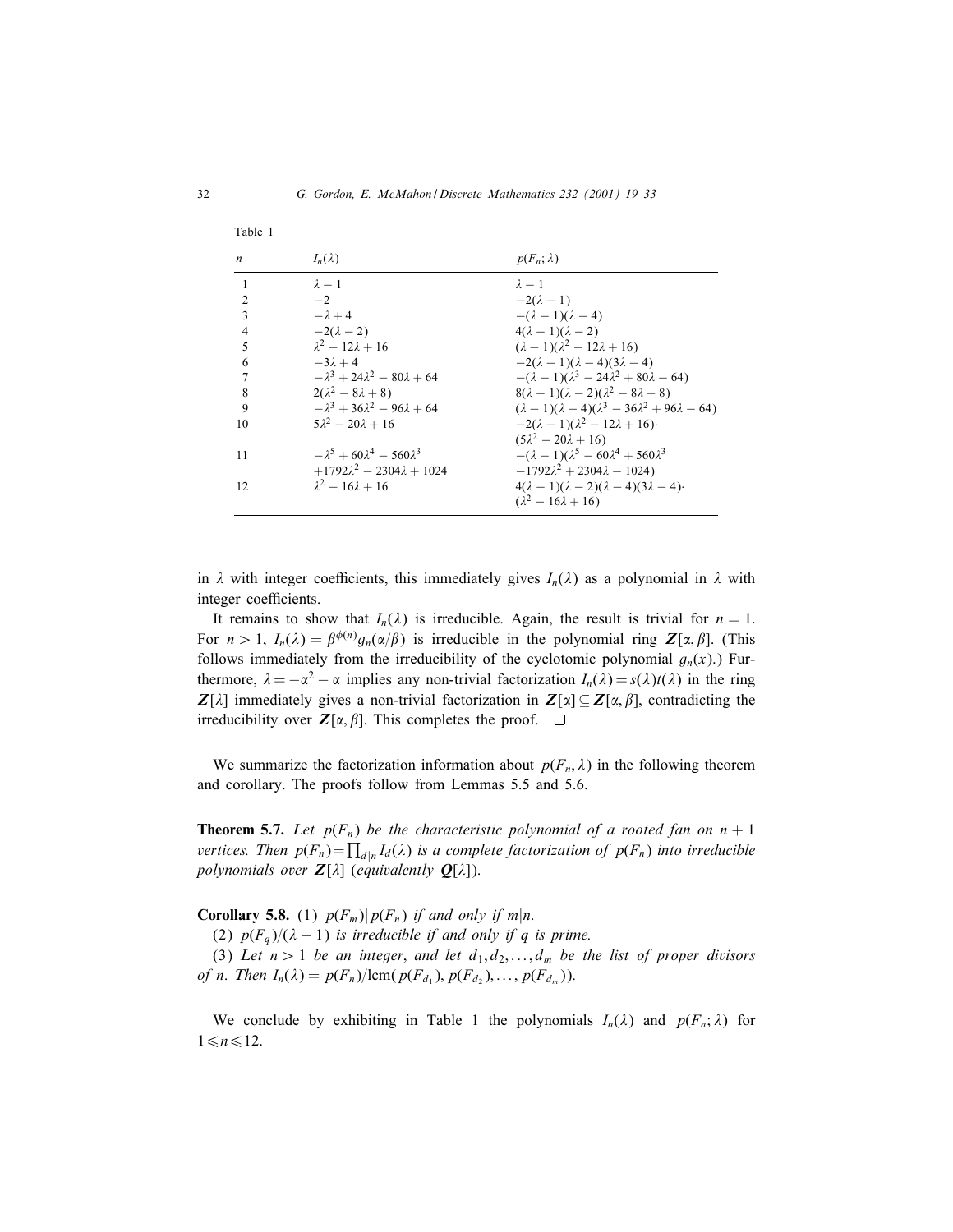| Table 1          |                                              |                                                                        |
|------------------|----------------------------------------------|------------------------------------------------------------------------|
| $\boldsymbol{n}$ | $I_n(\lambda)$                               | $p(F_n; \lambda)$                                                      |
| $\mathbf{1}$     | $\lambda - 1$                                | $\lambda - 1$                                                          |
| $\mathfrak{D}$   | $-2$                                         | $-2(\lambda-1)$                                                        |
| 3                | $-\lambda + 4$                               | $-(\lambda - 1)(\lambda - 4)$                                          |
| $\overline{4}$   | $-2(\lambda-2)$                              | $4(\lambda - 1)(\lambda - 2)$                                          |
| 5                | $\lambda^2 - 12\lambda + 16$                 | $(\lambda - 1)(\lambda^2 - 12\lambda + 16)$                            |
| 6                | $-3\lambda + 4$                              | $-2(\lambda-1)(\lambda-4)(3\lambda-4)$                                 |
|                  | $-\lambda^3 + 24\lambda^2 - 80\lambda + 64$  | $-(\lambda - 1)(\lambda^3 - 24\lambda^2 + 80\lambda - 64)$             |
| 8                | $2(\lambda^2-8\lambda+8)$                    | $8(\lambda - 1)(\lambda - 2)(\lambda^2 - 8\lambda + 8)$                |
| 9                | $- \lambda^3 + 36\lambda^2 - 96\lambda + 64$ | $(\lambda - 1)(\lambda - 4)(\lambda^3 - 36\lambda^2 + 96\lambda - 64)$ |
| 10               | $5\lambda^2 - 20\lambda + 16$                | $-2(\lambda - 1)(\lambda^2 - 12\lambda + 16)$                          |
|                  |                                              | $(5\lambda^2 - 20\lambda + 16)$                                        |
| 11               | $- \lambda^5 + 60\lambda^4 - 560\lambda^3$   | $-(\lambda - 1)(\lambda^5 - 60\lambda^4 + 560\lambda^3)$               |
|                  | $+1792\lambda^2 - 2304\lambda + 1024$        | $-1792\lambda^2 + 2304\lambda - 1024$                                  |
| 12               | $\lambda^2 - 16\lambda + 16$                 | $4(\lambda - 1)(\lambda - 2)(\lambda - 4)(3\lambda - 4)$               |
|                  |                                              | $(\lambda^2 - 16\lambda + 16)$                                         |

in  $\lambda$  with integer coefficients, this immediately gives  $I_n(\lambda)$  as a polynomial in  $\lambda$  with integer coefficients.

It remains to show that  $I_n(\lambda)$  is irreducible. Again, the result is trivial for  $n = 1$ . For  $n > 1$ ,  $I_n(\lambda) = \beta^{\phi(n)} g_n(\alpha/\beta)$  is irreducible in the polynomial ring  $\mathbf{Z}[\alpha, \beta]$ . (This follows immediately from the irreducibility of the cyclotomic polynomial  $g_n(x)$ .) Furthermore,  $\lambda = -\alpha^2 - \alpha$  implies any non-trivial factorization  $I_n(\lambda) = s(\lambda)t(\lambda)$  in the ring *Z*[ $\lambda$ ] immediately gives a non-trivial factorization in  $Z[\alpha] \subseteq Z[\alpha, \beta]$ , contradicting the irreducibility over  $Z[\alpha, \beta]$ . This completes the proof.  $\square$ 

We summarize the factorization information about  $p(F_n, \lambda)$  in the following theorem and corollary. The proofs follow from Lemmas 5.5 and 5.6.

**Theorem 5.7.** Let  $p(F_n)$  be the characteristic polynomial of a rooted fan on  $n + 1$ *vertices. Then*  $p(F_n) = \prod_{d|n} I_d(\lambda)$  *is a complete factorization of*  $p(F_n)$  *into irreducible polynomials over*  $Z[\lambda]$  (*equivalently*  $Q[\lambda]$ ).

**Corollary 5.8.** (1)  $p(F_m)|p(F_n)$  *if and only if*  $m|n$ .

(2)  $p(F_q)/(\lambda - 1)$  *is irreducible if and only if* q *is prime.* 

(3) Let  $n > 1$  be an integer, and let  $d_1, d_2, \ldots, d_m$  be the list of proper divisors *of n*. *Then*  $I_n(\lambda) = p(F_n)/\text{lcm}(p(F_{d_1}), p(F_{d_2}), \ldots, p(F_{d_m}))$ .

We conclude by exhibiting in Table 1 the polynomials  $I_n(\lambda)$  and  $p(F_n; \lambda)$  for  $1 \le n \le 12$ .